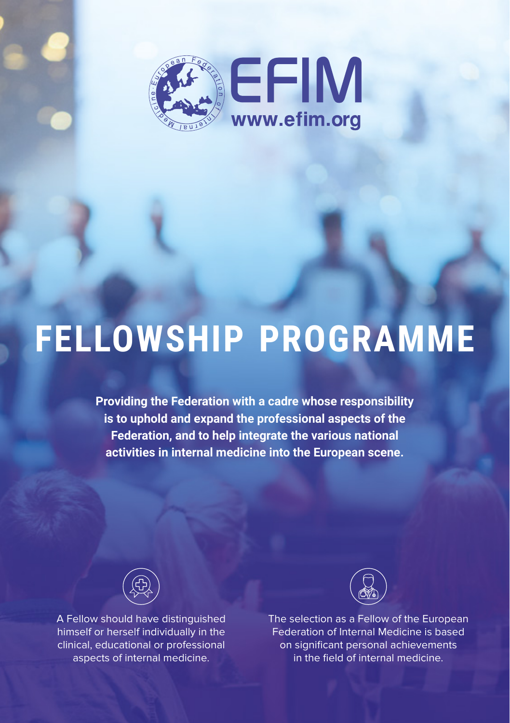

## **FELLOWSHIP PROGRAMME**

**Providing the Federation with a cadre whose responsibility is to uphold and expand the professional aspects of the Federation, and to help integrate the various national activities in internal medicine into the European scene.**



A Fellow should have distinguished himself or herself individually in the clinical, educational or professional aspects of internal medicine.



The selection as a Fellow of the European Federation of Internal Medicine is based on significant personal achievements in the field of internal medicine.